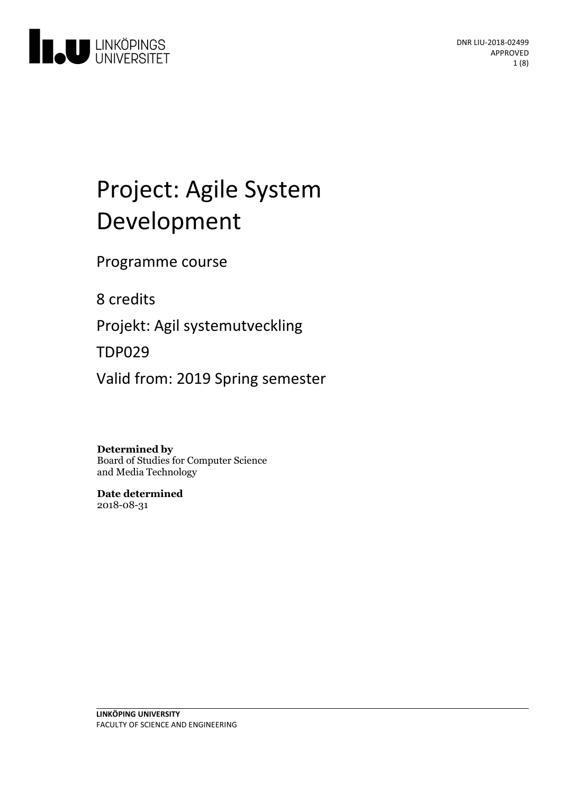

# Project: Agile System Development

Programme course

8 credits

Projekt: Agil systemutveckling

TDP029

Valid from: 2019 Spring semester

## **Determined by**

Board of Studies for Computer Science and Media Technology

**Date determined** 2018-08-31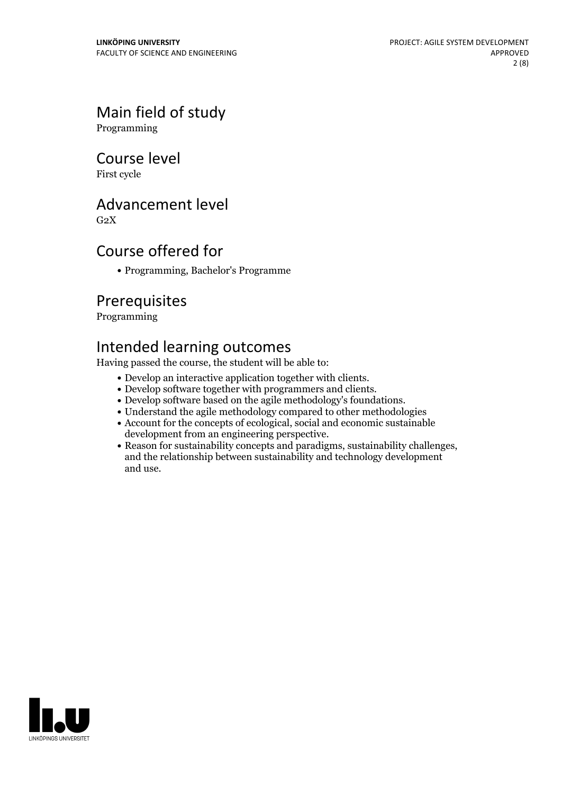# Main field of study

Programming

## Course level

First cycle

# Advancement level

 $G<sub>2</sub>X$ 

# Course offered for

Programming, Bachelor's Programme

## Prerequisites

Programming

# Intended learning outcomes

Having passed the course, the student will be able to:

- 
- 
- Develop an interactive application together with clients.<br>• Develop software together with programmers and clients.<br>• Develop software based on the agile methodology's foundations.<br>• Understand the agile methodology comp
- 
- Account for the concepts of ecological, social and economic sustainable
- development from an engineering perspective.<br>• Reason for sustainability concepts and paradigms, sustainability challenges, and the relationship between sustainability and technology development and use.

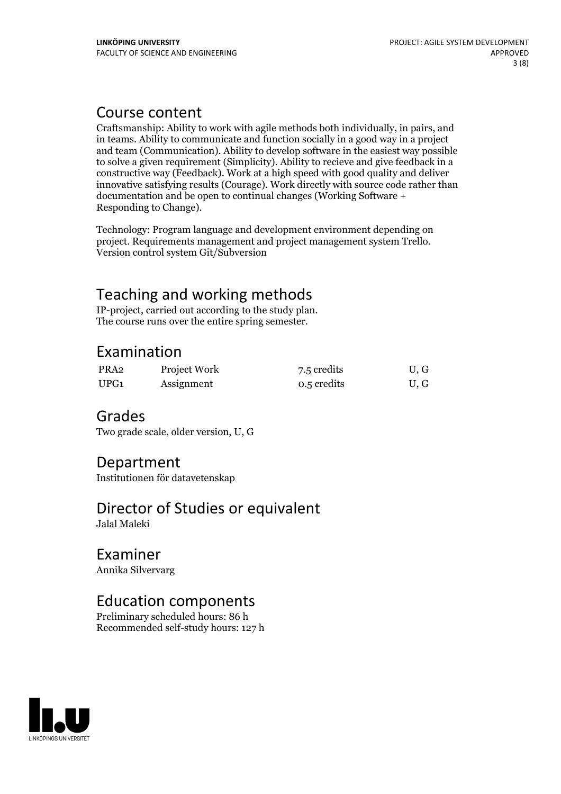# Course content

Craftsmanship: Ability to work with agile methods both individually, in pairs, and in teams. Ability to communicate and function socially in a good way in a project and team (Communication). Ability to develop software in the easiest way possible to solve a given requirement (Simplicity). Ability to recieve and give feedback in a constructive way (Feedback). Work at a high speed with good quality and deliver innovative satisfying results (Courage). Work directly with source code rather than documentation and be open to continual changes (Working Software + Responding to Change).

Technology: Program language and development environment depending on project. Requirements management and project management system Trello. Version control system Git/Subversion

# Teaching and working methods<br>IP-project, carried out according to the study plan.

The course runs over the entire spring semester.

# Examination

| PRA2 | Project Work | 7.5 credits | U.G |
|------|--------------|-------------|-----|
| UPG1 | Assignment   | 0.5 credits | U.G |

## Grades

Two grade scale, older version, U, G

## Department

Institutionen för datavetenskap

# Director of Studies or equivalent

Jalal Maleki

# Examiner

Annika Silvervarg

# Education components

Preliminary scheduled hours: 86 h Recommended self-study hours: 127 h

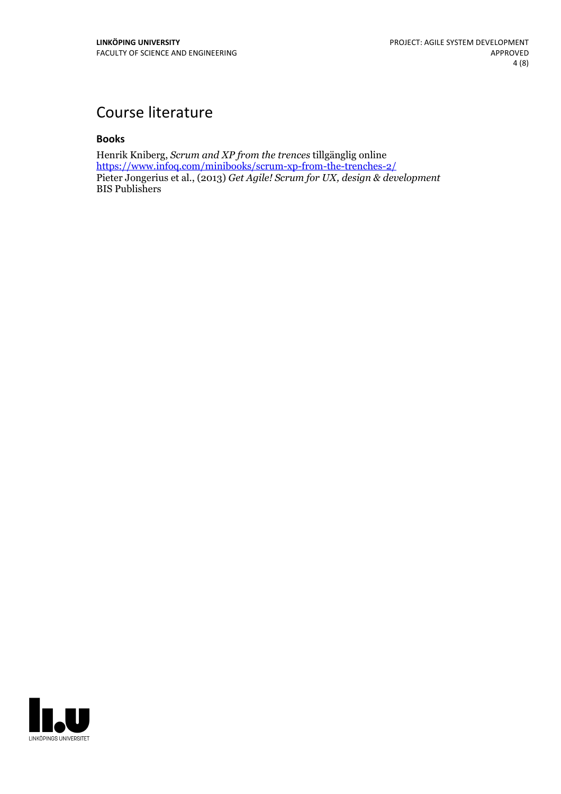# Course literature

### **Books**

Henrik Kniberg, *Scrum and XP from the trences* tillgänglig online <https://www.infoq.com/minibooks/scrum-xp-from-the-trenches-2/> Pieter Jongerius et al., (2013) *Get Agile! Scrum for UX, design & development* BIS Publishers

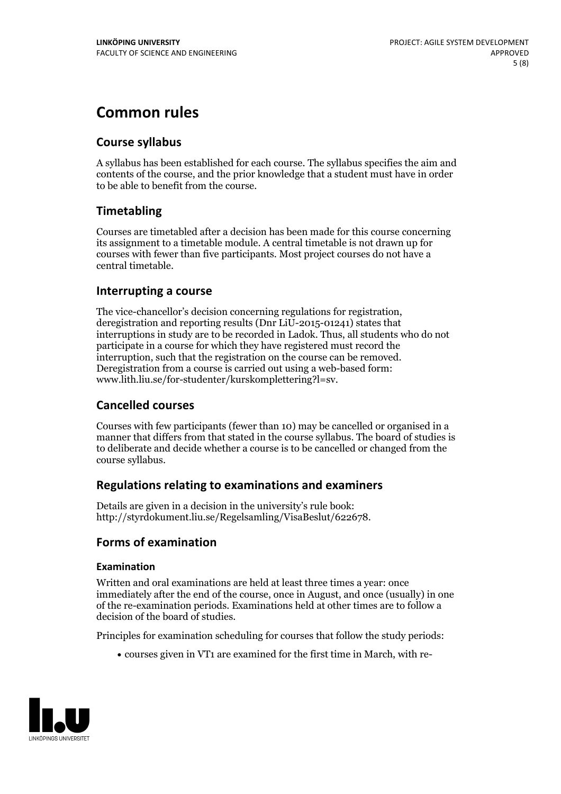# **Common rules**

## **Course syllabus**

A syllabus has been established for each course. The syllabus specifies the aim and contents of the course, and the prior knowledge that a student must have in order to be able to benefit from the course.

## **Timetabling**

Courses are timetabled after a decision has been made for this course concerning its assignment to a timetable module. A central timetable is not drawn up for courses with fewer than five participants. Most project courses do not have a central timetable.

## **Interrupting a course**

The vice-chancellor's decision concerning regulations for registration, deregistration and reporting results (Dnr LiU-2015-01241) states that interruptions in study are to be recorded in Ladok. Thus, all students who do not participate in a course for which they have registered must record the interruption, such that the registration on the course can be removed. Deregistration from <sup>a</sup> course is carried outusing <sup>a</sup> web-based form: www.lith.liu.se/for-studenter/kurskomplettering?l=sv.

## **Cancelled courses**

Courses with few participants (fewer than 10) may be cancelled or organised in a manner that differs from that stated in the course syllabus. The board of studies is to deliberate and decide whether a course is to be cancelled orchanged from the course syllabus.

## **Regulations relatingto examinations and examiners**

Details are given in a decision in the university's rule book: http://styrdokument.liu.se/Regelsamling/VisaBeslut/622678.

## **Forms of examination**

### **Examination**

Written and oral examinations are held at least three times a year: once immediately after the end of the course, once in August, and once (usually) in one of the re-examination periods. Examinations held at other times are to follow a decision of the board of studies.

Principles for examination scheduling for courses that follow the study periods:

courses given in VT1 are examined for the first time in March, with re-

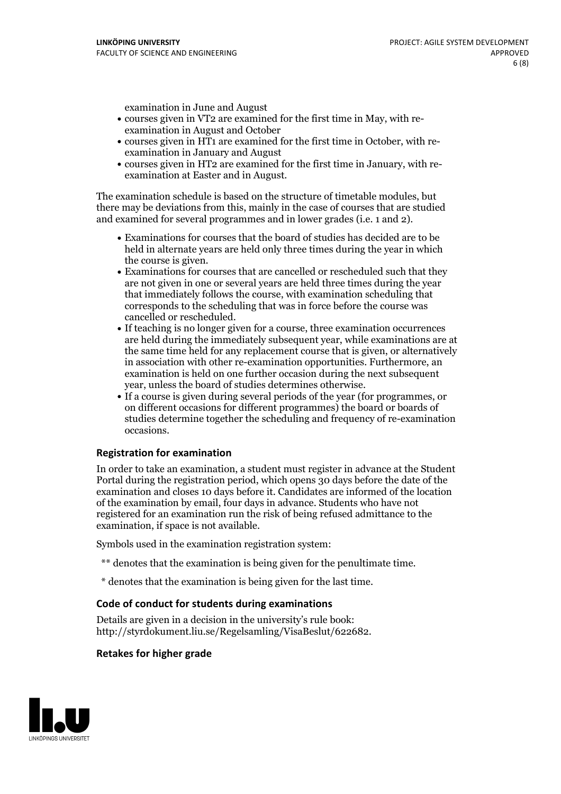examination in June and August

- courses given in VT2 are examined for the first time in May, with re-examination in August and October
- courses given in HT1 are examined for the first time in October, with re-examination in January and August
- courses given in HT2 are examined for the first time in January, with re-examination at Easter and in August.

The examination schedule is based on the structure of timetable modules, but there may be deviations from this, mainly in the case of courses that are studied and examined for several programmes and in lower grades (i.e. 1 and 2).

- Examinations for courses that the board of studies has decided are to be held in alternate years are held only three times during the year in which
- the course is given.<br>• Examinations for courses that are cancelled or rescheduled such that they are not given in one or several years are held three times during the year that immediately follows the course, with examination scheduling that corresponds to the scheduling that was in force before the course was cancelled or rescheduled.<br>• If teaching is no longer given for a course, three examination occurrences
- are held during the immediately subsequent year, while examinations are at the same time held for any replacement course that is given, or alternatively in association with other re-examination opportunities. Furthermore, an examination is held on one further occasion during the next subsequent year, unless the board of studies determines otherwise.<br>• If a course is given during several periods of the year (for programmes, or
- on different occasions for different programmes) the board orboards of studies determine together the scheduling and frequency of re-examination occasions.

#### **Registration for examination**

In order to take an examination, a student must register in advance at the Student Portal during the registration period, which opens 30 days before the date of the examination and closes 10 days before it. Candidates are informed of the location of the examination by email, four days in advance. Students who have not registered for an examination run the risk of being refused admittance to the examination, if space is not available.

Symbols used in the examination registration system:

- \*\* denotes that the examination is being given for the penultimate time.
- \* denotes that the examination is being given for the last time.

#### **Code of conduct for students during examinations**

Details are given in a decision in the university's rule book: http://styrdokument.liu.se/Regelsamling/VisaBeslut/622682.

#### **Retakes for higher grade**

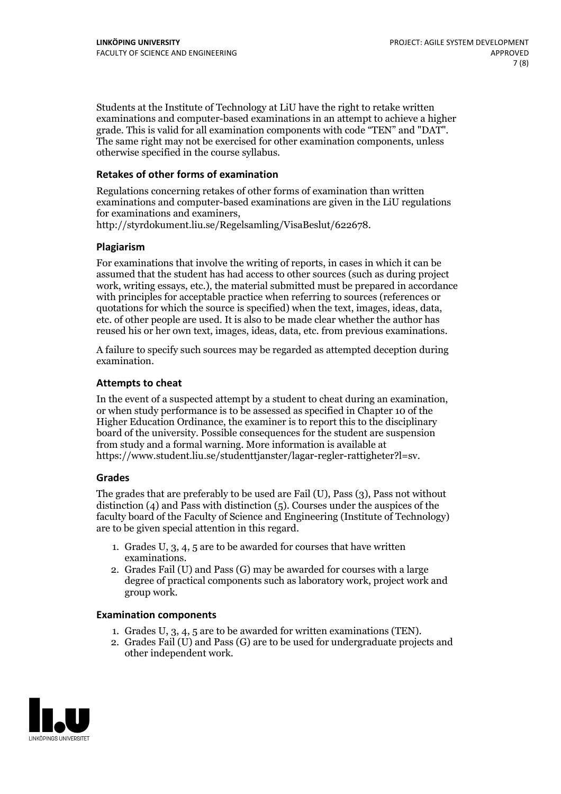Students at the Institute of Technology at LiU have the right to retake written examinations and computer-based examinations in an attempt to achieve a higher grade. This is valid for all examination components with code "TEN" and "DAT". The same right may not be exercised for other examination components, unless otherwise specified in the course syllabus.

#### **Retakes of other forms of examination**

Regulations concerning retakes of other forms of examination than written examinations and computer-based examinations are given in the LiU regulations for examinations and examiners, http://styrdokument.liu.se/Regelsamling/VisaBeslut/622678.

#### **Plagiarism**

For examinations that involve the writing of reports, in cases in which it can be assumed that the student has had access to other sources (such as during project work, writing essays, etc.), the material submitted must be prepared in accordance with principles for acceptable practice when referring to sources (references or quotations for which the source is specified) when the text, images, ideas, data, etc. of other people are used. It is also to be made clear whether the author has reused his or her own text, images, ideas, data, etc. from previous examinations.

A failure to specify such sources may be regarded as attempted deception during examination.

#### **Attempts to cheat**

In the event of <sup>a</sup> suspected attempt by <sup>a</sup> student to cheat during an examination, or when study performance is to be assessed as specified in Chapter <sup>10</sup> of the Higher Education Ordinance, the examiner is to report this to the disciplinary board of the university. Possible consequences for the student are suspension from study and a formal warning. More information is available at https://www.student.liu.se/studenttjanster/lagar-regler-rattigheter?l=sv.

#### **Grades**

The grades that are preferably to be used are Fail (U), Pass (3), Pass not without distinction  $(4)$  and Pass with distinction  $(5)$ . Courses under the auspices of the faculty board of the Faculty of Science and Engineering (Institute of Technology) are to be given special attention in this regard.

- 1. Grades U, 3, 4, 5 are to be awarded for courses that have written
- examinations. 2. Grades Fail (U) and Pass (G) may be awarded for courses with <sup>a</sup> large degree of practical components such as laboratory work, project work and group work.

#### **Examination components**

- 
- 1. Grades U, 3, 4, <sup>5</sup> are to be awarded for written examinations (TEN). 2. Grades Fail (U) and Pass (G) are to be used for undergraduate projects and other independent work.